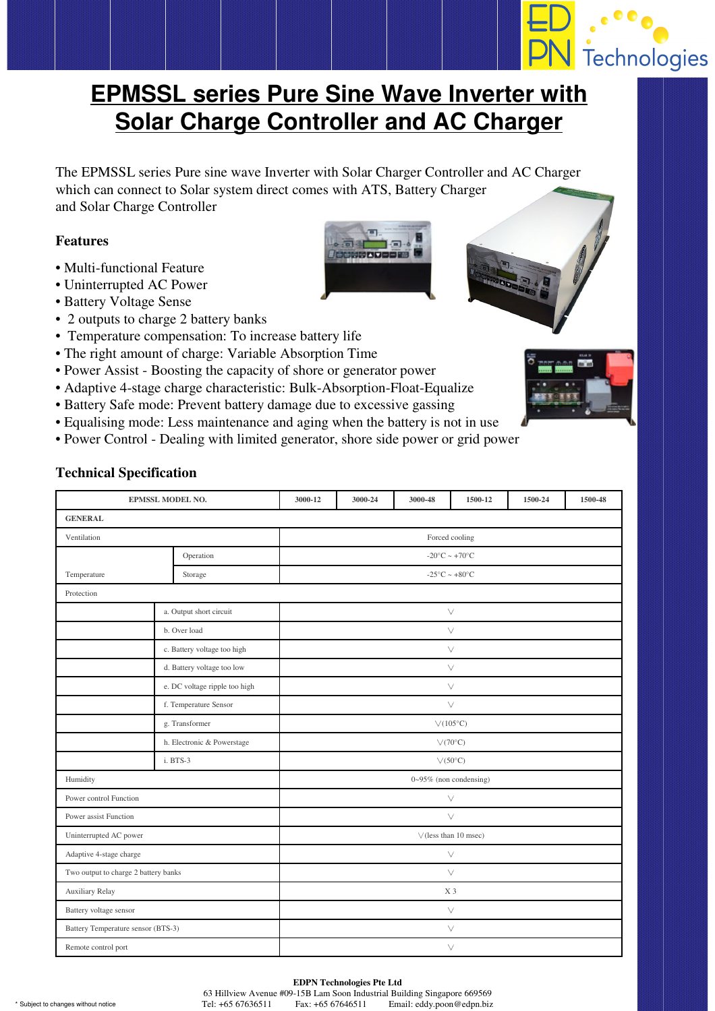## <u>sechnologies</u> **EPMSSL series Pure Sine Wave Inverter with Solar Charge Controller and AC Charger**

The EPMSSL series Pure sine wave Inverter with Solar Charger Controller and AC Charger which can connect to Solar system direct comes with ATS, Battery Charger and Solar Charge Controller

## **Features**

- Multi-functional Feature
- Uninterrupted AC Power
- Battery Voltage Sense
- 2 outputs to charge 2 battery banks
- Temperature compensation: To increase battery life
- The right amount of charge: Variable Absorption Time
- Power Assist Boosting the capacity of shore or generator power
- Adaptive 4-stage charge characteristic: Bulk-Absorption-Float-Equalize
- Battery Safe mode: Prevent battery damage due to excessive gassing
- Equalising mode: Less maintenance and aging when the battery is not in use
- Power Control Dealing with limited generator, shore side power or grid power

## **Technical Specification**

| EPMSSL MODEL NO.                     |                               | 3000-12                                             | 3000-24 | 3000-48 | 1500-12 | 1500-24 | 1500-48 |  |  |  |
|--------------------------------------|-------------------------------|-----------------------------------------------------|---------|---------|---------|---------|---------|--|--|--|
| <b>GENERAL</b>                       |                               |                                                     |         |         |         |         |         |  |  |  |
| Ventilation                          |                               | Forced cooling                                      |         |         |         |         |         |  |  |  |
| Operation                            |                               | -20°C ~ +70°C                                       |         |         |         |         |         |  |  |  |
| Temperature                          | Storage                       | -25 $\mathrm{^{\circ}C} \sim +80\mathrm{^{\circ}C}$ |         |         |         |         |         |  |  |  |
| Protection                           |                               |                                                     |         |         |         |         |         |  |  |  |
|                                      | a. Output short circuit       | $\vee$                                              |         |         |         |         |         |  |  |  |
|                                      | b. Over load                  | $\vee$                                              |         |         |         |         |         |  |  |  |
|                                      | c. Battery voltage too high   |                                                     |         | $\vee$  |         |         |         |  |  |  |
|                                      | d. Battery voltage too low    | $\vee$                                              |         |         |         |         |         |  |  |  |
|                                      | e. DC voltage ripple too high | $\vee$                                              |         |         |         |         |         |  |  |  |
|                                      | f. Temperature Sensor         | $\vee$                                              |         |         |         |         |         |  |  |  |
|                                      | g. Transformer                | $\vee$ (105°C)                                      |         |         |         |         |         |  |  |  |
|                                      | h. Electronic & Powerstage    | $\vee$ (70°C)                                       |         |         |         |         |         |  |  |  |
|                                      | i. BTS-3                      | $\sqrt{(50^{\circ}C)}$                              |         |         |         |         |         |  |  |  |
| Humidity                             |                               | 0~95% (non condensing)                              |         |         |         |         |         |  |  |  |
| Power control Function               |                               | $\vee$                                              |         |         |         |         |         |  |  |  |
| Power assist Function                |                               | $\vee$                                              |         |         |         |         |         |  |  |  |
| Uninterrupted AC power               |                               | $\vee$ (less than 10 msec)                          |         |         |         |         |         |  |  |  |
| Adaptive 4-stage charge              |                               | $\vee$                                              |         |         |         |         |         |  |  |  |
| Two output to charge 2 battery banks |                               | $\vee$                                              |         |         |         |         |         |  |  |  |
| Auxiliary Relay                      |                               | X <sub>3</sub>                                      |         |         |         |         |         |  |  |  |
| Battery voltage sensor               |                               | $\vee$                                              |         |         |         |         |         |  |  |  |
| Battery Temperature sensor (BTS-3)   |                               | $\vee$                                              |         |         |         |         |         |  |  |  |
| Remote control port                  |                               | $\vee$                                              |         |         |         |         |         |  |  |  |